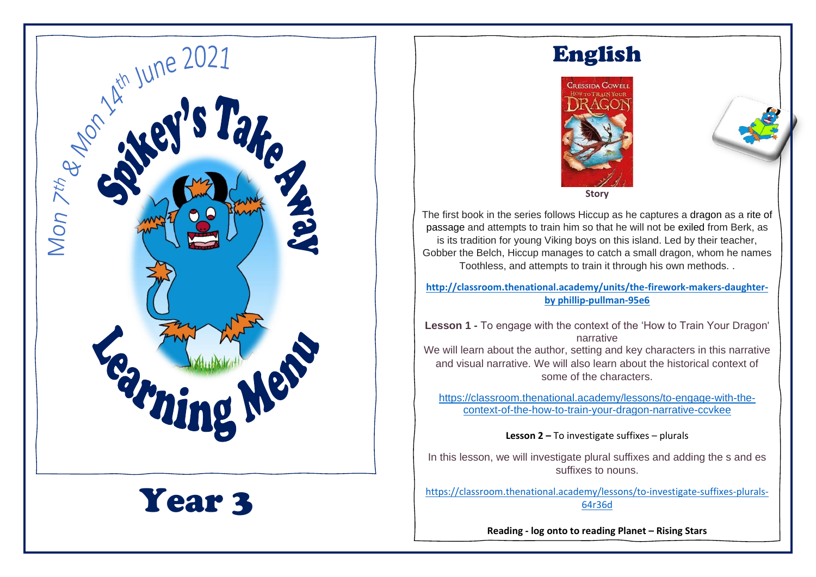

English



The first book in the series follows Hiccup as he captures a dragon as a rite of passage and attempts to train him so that he will not be exiled from Berk, as is its tradition for young Viking boys on this island. Led by their teacher, Gobber the Belch, Hiccup manages to catch a small dragon, whom he names Toothless, and attempts to train it through his own methods. .

**[http://classroom.thenational.academy/units/the-firework-makers-daughter](http://classroom.thenational.academy/units/the-firework-makers-daughter-by%20phillip-pullman-95e6)[by phillip-pullman-95e6](http://classroom.thenational.academy/units/the-firework-makers-daughter-by%20phillip-pullman-95e6)**

**Lesson 1 -** To engage with the context of the 'How to Train Your Dragon' narrative We will learn about the author, setting and key characters in this narrative and visual narrative. We will also learn about the historical context of some of the characters.

[https://classroom.thenational.academy/lessons/to-engage-with-the](https://classroom.thenational.academy/lessons/to-engage-with-the-context-of-the-how-to-train-your-dragon-narrative-ccvkee)[context-of-the-how-to-train-your-dragon-narrative-ccvkee](https://classroom.thenational.academy/lessons/to-engage-with-the-context-of-the-how-to-train-your-dragon-narrative-ccvkee)

**Lesson 2 –** To investigate suffixes – plurals

In this lesson, we will investigate plural suffixes and adding the s and es suffixes to nouns.

[https://classroom.thenational.academy/lessons/to-investigate-suffixes-plurals-](https://classroom.thenational.academy/lessons/to-investigate-suffixes-plurals-64r36d)[64r36d](https://classroom.thenational.academy/lessons/to-investigate-suffixes-plurals-64r36d)

**Reading - log onto to reading Planet – Rising Stars**

**<https://my.risingstars-uk.com/Default.aspx?ReturnUrl=%2f>**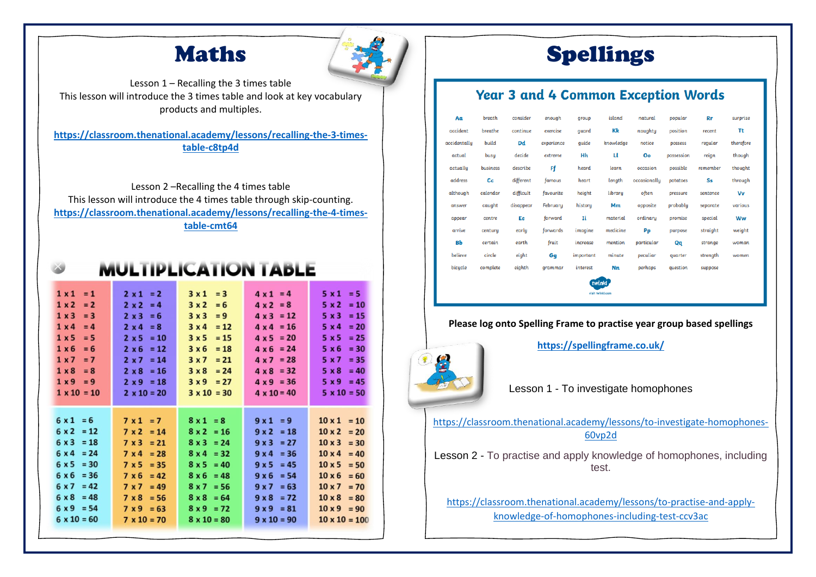## Maths



Lesson 1 – Recalling the 3 times table This lesson will introduce the 3 times table and look at key vocabulary products and multiples.

**[https://classroom.thenational.academy/lessons/recalling-the-3-times](https://classroom.thenational.academy/lessons/recalling-the-3-times-table-c8tp4d)[table-c8tp4d](https://classroom.thenational.academy/lessons/recalling-the-3-times-table-c8tp4d)**

Lesson 2 –Recalling the 4 times table This lesson will introduce the 4 times table through skip-counting. **[https://classroom.thenational.academy/lessons/recalling-the-4-times](https://classroom.thenational.academy/lessons/recalling-the-4-times-table-cmt64)[table-cmt64](https://classroom.thenational.academy/lessons/recalling-the-4-times-table-cmt64)**

IDI ICATION T

 $> 10$ 

| ヽレ∟∟                                                                                                                                                                                                      |                                                                                                                                                                                                                                 |                                                                                                                                                                                                  |                                                                                                                                                                                                               |                                                                                                                                                                                                                            |  |  |  |  |  |  |  |  |
|-----------------------------------------------------------------------------------------------------------------------------------------------------------------------------------------------------------|---------------------------------------------------------------------------------------------------------------------------------------------------------------------------------------------------------------------------------|--------------------------------------------------------------------------------------------------------------------------------------------------------------------------------------------------|---------------------------------------------------------------------------------------------------------------------------------------------------------------------------------------------------------------|----------------------------------------------------------------------------------------------------------------------------------------------------------------------------------------------------------------------------|--|--|--|--|--|--|--|--|
| $1 \times 1$<br>$= 1$<br>1 x 2<br>$= 2$<br>1 x 3<br>$= 3$<br>$1 \times 4$<br>$= 4$<br>1 x 5<br>$= 5$<br>1 x 6<br>$= 6$<br>1x7<br>$= 7$<br>$1 \times 8$<br>$= 8$<br>$1 \times 9 = 9$<br>$1 \times 10 = 10$ | $2 \times 1 = 2$<br>$2 \times 2 = 4$<br>$2 \times 3$<br>$= 6$<br>$2 \times 4 = 8$<br>$= 10$<br>$2 \times 5$<br>$= 12$<br>$2 \times 6$<br>$2 \times 7 = 14$<br>$2 \times 8$<br>$= 16$<br>$2 \times 9 = 18$<br>$2 \times 10 = 20$ | $3x1 = 3$<br>3x2<br>$= 6$<br>3x3<br>$= 9$<br>3x4<br>$= 12$<br>3x5<br>$= 15$<br>3x6<br>$= 18$<br>$3x7 = 21$<br>3x8<br>$= 24$<br>$3x9 = 27$<br>$3 \times 10 = 30$                                  | $4 \times 1 = 4$<br>$4 \times 2 = 8$<br>$4 \times 3 = 12$<br>$4 \times 4 = 16$<br>$4 \times 5 = 20$<br>$4 \times 6 = 24$<br>$4 \times 7 = 28$<br>$4 \times 8 = 32$<br>$4 \times 9 = 36$<br>$4 \times 10 = 40$ | $5x1 = 5$<br>$= 10$<br>5x2<br>$5 \times 3$<br>$= 15$<br>$5 \times 4$<br>$= 20$<br>$= 25$<br>5x5<br>$= 30$<br>5x6<br>$= 35$<br>5 x 7<br>5 x 8<br>$= 40$<br>$5 \times 9 = 45$<br>$5 \times 10 = 50$                          |  |  |  |  |  |  |  |  |
| $6x1 = 6$<br>$6 \times 2 = 12$<br>$6 \times 3 = 18$<br>$6 \times 4 = 24$<br>$6 \times 5 = 30$<br>$6 \times 6 = 36$<br>$6 \times 7 = 42$<br>$6 \times 8 = 48$<br>$6 \times 9 = 54$<br>$6 \times 10 = 60$   | $7 \times 1 = 7$<br>$7 \times 2 = 14$<br>$7 \times 3 = 21$<br>$7 \times 4$<br>$= 28$<br>$= 35$<br>7x5<br>7 × 6<br>$= 42$<br>7 x 7<br>$= 49$<br>7 x 8<br>$= 56$<br>$7 \times 9 = 63$<br>$7 \times 10 = 70$                       | $8x1 = 8$<br>$8 \times 2 = 16$<br>$8 \times 3 = 24$<br>$8x4 = 32$<br>$8 \times 5 = 40$<br>$8 \times 6 = 48$<br>$8 \times 7 = 56$<br>$8 \times 8 = 64$<br>$8 \times 9 = 72$<br>$8 \times 10 = 80$ | $9x1 = 9$<br>$9 \times 2 = 18$<br>$9 \times 3 = 27$<br>$9x4 = 36$<br>9x5<br>$= 45$<br>$9 \times 6 = 54$<br>$= 63$<br>9x7<br>$= 72$<br>$9 \times 8$<br>$9 \times 9 = 81$<br>$9 \times 10 = 90$                 | $10 \times 1 = 10$<br>$10 \times 2 = 20$<br>$10 \times 3 = 30$<br>$10 \times 4 = 40$<br>$10 \times 5 = 50$<br>$10 \times 6 = 60$<br>$10 \times 7 = 70$<br>$10 \times 8 = 80$<br>$10 \times 9 = 90$<br>$10 \times 10 = 100$ |  |  |  |  |  |  |  |  |

**Please log onto Times Tables Rockstar and practise all times tables <https://play.ttrockstars.com/auth/school/student/undefined/password>**

## Spellings

### **Year 3 and 4 Common Exception Words**

| Aa           | breath   | consider  | enough     | qroup     | island           | natural      | popular    | <b>Rr</b> | surprise  |  |  |
|--------------|----------|-----------|------------|-----------|------------------|--------------|------------|-----------|-----------|--|--|
| accident     | breathe  | continue  | exercise   | quard     | Kk               | naughty      | position   | recent    | Τt        |  |  |
| accidentally | build    | Dd        | experience | quide     | knowledge        | notice       | possess    | regular   | therefore |  |  |
| actual       | busy     | decide    | extreme    | Hh        | п                | Oo           | possession | reign     | though    |  |  |
| actually     | business | describe  | Ff         | heard     | learn            | occasion     | possible   | remember  | thought   |  |  |
| address      | Сc       | different | famous     | heart     | length           | occasionally | potatoes   | Ss        | through   |  |  |
| although     | calendar | difficult | favourite  | height    | library          | often        | pressure   | sentence  | Vv        |  |  |
| answer       | caught   | disappear | February   | history   | Mm               | opposite     | probably   | separate  | various   |  |  |
| appear       | centre   | Ee        | forward    | Ιi        | material         | ordinary     | promise    | special   | Ww        |  |  |
| arrive       | century  | early     | forwards   | imagine   | medicine         | Pp           | purpose    | straight  | weight    |  |  |
| Bb           | certain  | earth     | fruit      | increase  | mention          | particular   | Qq         | strange   | woman     |  |  |
| believe      | circle   | eight     | Gg         | important | minute           | peculiar     | quarter    | strength  | women     |  |  |
| bicycle      | complete | eighth    | qrammar    | interest  | Nn               | perhaps      | question   | suppose   |           |  |  |
| twinkl       |          |           |            |           |                  |              |            |           |           |  |  |
|              |          |           |            |           | visit twinkl.com |              |            |           |           |  |  |

#### **Please log onto Spelling Frame to practise year group based spellings**



**<https://spellingframe.co.uk/>**

Lesson 1 - To investigate homophones

[https://classroom.thenational.academy/lessons/to-investigate-homophones-](https://classroom.thenational.academy/lessons/to-investigate-homophones-60vp2d)[60vp2d](https://classroom.thenational.academy/lessons/to-investigate-homophones-60vp2d)

Lesson 2 - To practise and apply knowledge of homophones, including test.

[https://classroom.thenational.academy/lessons/to-practise-and-apply](https://classroom.thenational.academy/lessons/to-practise-and-apply-knowledge-of-homophones-including-test-ccv3ac)[knowledge-of-homophones-including-test-ccv3ac](https://classroom.thenational.academy/lessons/to-practise-and-apply-knowledge-of-homophones-including-test-ccv3ac)